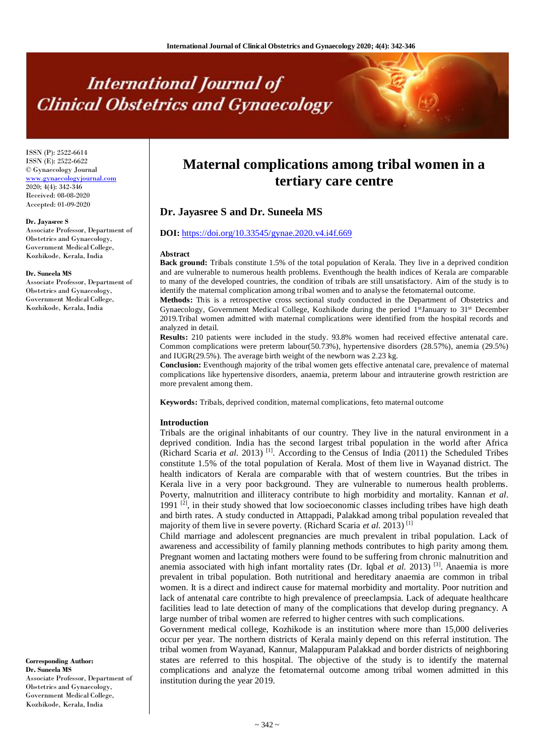# **International Journal of Clinical Obstetrics and Gynaecology**

ISSN (P): 2522-6614 ISSN (E): 2522-6622 © Gynaecology Journal [www.gynaecologyjournal.com](http://www.gynaecologyjournal.com/) 2020; 4(4): 342-346 Received: 08-08-2020 Accepted: 01-09-2020

#### **Dr. Jayasree S**

Associate Professor, Department of Obstetrics and Gynaecology, Government Medical College, Kozhikode, Kerala, India

#### **Dr. Suneela MS**

Associate Professor, Department of Obstetrics and Gynaecology, Government Medical College, Kozhikode, Kerala, India

**Corresponding Author: Dr. Suneela MS** Associate Professor, Department of Obstetrics and Gynaecology, Government Medical College, Kozhikode, Kerala, India

# **Maternal complications among tribal women in a tertiary care centre**

# **Dr. Jayasree S and Dr. Suneela MS**

### **DOI:** <https://doi.org/10.33545/gynae.2020.v4.i4f.669>

#### **Abstract**

**Back ground:** Tribals constitute 1.5% of the total population of Kerala. They live in a deprived condition and are vulnerable to numerous health problems. Eventhough the health indices of Kerala are comparable to many of the developed countries, the condition of tribals are still unsatisfactory. Aim of the study is to identify the maternal complication among tribal women and to analyse the fetomaternal outcome.

**Methods:** This is a retrospective cross sectional study conducted in the Department of Obstetrics and Gynaecology, Government Medical College, Kozhikode during the period 1<sup>st</sup>January to 31<sup>st</sup> December 2019.Tribal women admitted with maternal complications were identified from the hospital records and analyzed in detail.

**Results:** 210 patients were included in the study. 93.8% women had received effective antenatal care. Common complications were preterm labour(50.73%), hypertensive disorders (28.57%), anemia (29.5%) and IUGR(29.5%). The average birth weight of the newborn was 2.23 kg.

**Conclusion:** Eventhough majority of the tribal women gets effective antenatal care, prevalence of maternal complications like hypertensive disorders, anaemia, preterm labour and intrauterine growth restriction are more prevalent among them.

**Keywords:** Tribals, deprived condition, maternal complications, feto maternal outcome

# **Introduction**

Tribals are the original inhabitants of our country. They live in the natural environment in a deprived condition. India has the second largest tribal population in the world after Africa (Richard Scaria et al. 2013)<sup>[1]</sup>. According to the Census of India (2011) the Scheduled Tribes constitute 1.5% of the total population of Kerala. Most of them live in Wayanad district. The health indicators of Kerala are comparable with that of western countries. But the tribes in Kerala live in a very poor background. They are vulnerable to numerous health problems. Poverty, malnutrition and illiteracy contribute to high morbidity and mortality. Kannan *et al*. 1991 $[2]$ , in their study showed that low socioeconomic classes including tribes have high death and birth rates. A study conducted in Attappadi, Palakkad among tribal population revealed that majority of them live in severe poverty. (Richard Scaria *et al.* 2013) [1]

Child marriage and adolescent pregnancies are much prevalent in tribal population. Lack of awareness and accessibility of family planning methods contributes to high parity among them. Pregnant women and lactating mothers were found to be suffering from chronic malnutrition and anemia associated with high infant mortality rates (Dr. Iqbal *et al.* 2013)<sup>[3]</sup>. Anaemia is more prevalent in tribal population. Both nutritional and hereditary anaemia are common in tribal women. It is a direct and indirect cause for maternal morbidity and mortality. Poor nutrition and lack of antenatal care contribte to high prevalence of preeclampsia. Lack of adequate healthcare facilities lead to late detection of many of the complications that develop during pregnancy. A large number of tribal women are referred to higher centres with such complications.

Government medical college, Kozhikode is an institution where more than 15,000 deliveries occur per year. The northern districts of Kerala mainly depend on this referral institution. The tribal women from Wayanad, Kannur, Malappuram Palakkad and border districts of neighboring states are referred to this hospital. The objective of the study is to identify the maternal complications and analyze the fetomaternal outcome among tribal women admitted in this institution during the year 2019.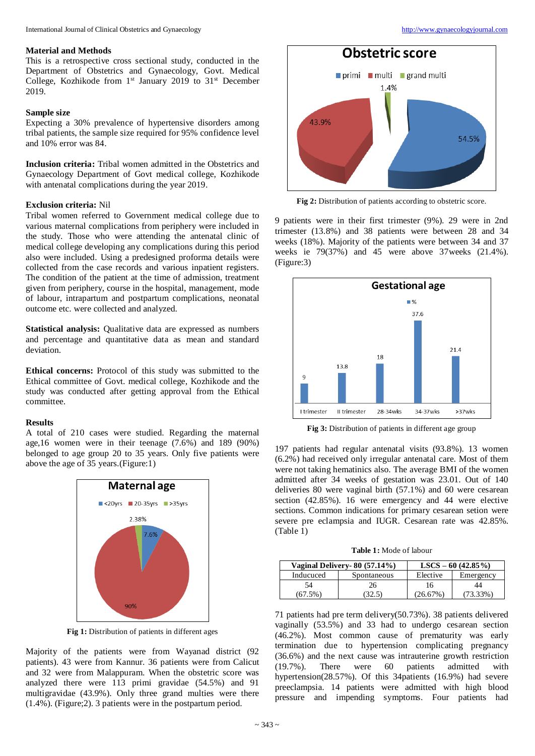# **Material and Methods**

This is a retrospective cross sectional study, conducted in the Department of Obstetrics and Gynaecology, Govt. Medical College, Kozhikode from  $1<sup>st</sup>$  January 2019 to  $31<sup>st</sup>$  December 2019.

# **Sample size**

Expecting a 30% prevalence of hypertensive disorders among tribal patients, the sample size required for 95% confidence level and 10% error was 84.

**Inclusion criteria:** Tribal women admitted in the Obstetrics and Gynaecology Department of Govt medical college, Kozhikode with antenatal complications during the year 2019.

### **Exclusion criteria:** Nil

Tribal women referred to Government medical college due to various maternal complications from periphery were included in the study. Those who were attending the antenatal clinic of medical college developing any complications during this period also were included. Using a predesigned proforma details were collected from the case records and various inpatient registers. The condition of the patient at the time of admission, treatment given from periphery, course in the hospital, management, mode of labour, intrapartum and postpartum complications, neonatal outcome etc. were collected and analyzed.

**Statistical analysis:** Qualitative data are expressed as numbers and percentage and quantitative data as mean and standard deviation.

**Ethical concerns:** Protocol of this study was submitted to the Ethical committee of Govt. medical college, Kozhikode and the study was conducted after getting approval from the Ethical committee.

#### **Results**

A total of 210 cases were studied. Regarding the maternal age,16 women were in their teenage (7.6%) and 189 (90%) belonged to age group 20 to 35 years. Only five patients were above the age of 35 years.(Figure:1)



**Fig 1:** Distribution of patients in different ages

Majority of the patients were from Wayanad district (92 patients). 43 were from Kannur. 36 patients were from Calicut and 32 were from Malappuram. When the obstetric score was analyzed there were 113 primi gravidae (54.5%) and 91 multigravidae (43.9%). Only three grand multies were there (1.4%). (Figure;2). 3 patients were in the postpartum period.



**Fig 2:** Distribution of patients according to obstetric score.

9 patients were in their first trimester (9%). 29 were in 2nd trimester (13.8%) and 38 patients were between 28 and 34 weeks (18%). Majority of the patients were between 34 and 37 weeks ie 79(37%) and 45 were above 37weeks (21.4%). (Figure:3)



**Fig 3:** Distribution of patients in different age group

197 patients had regular antenatal visits (93.8%). 13 women (6.2%) had received only irregular antenatal care. Most of them were not taking hematinics also. The average BMI of the women admitted after 34 weeks of gestation was 23.01. Out of 140 deliveries 80 were vaginal birth (57.1%) and 60 were cesarean section (42.85%). 16 were emergency and 44 were elective sections. Common indications for primary cesarean setion were severe pre eclampsia and IUGR. Cesarean rate was 42.85%. (Table 1)

**Table 1:** Mode of labour

| Vaginal Delivery- $80$ (57.14%) |             | $LSCS - 60 (42.85%)$ |           |
|---------------------------------|-------------|----------------------|-----------|
| Inducuced                       | Spontaneous | Elective             | Emergency |
| 54                              | 26.         | Iб                   | 44        |
| (67.5%)                         | 32.5        | (26.67%)             | (73.33%)  |

71 patients had pre term delivery(50.73%). 38 patients delivered vaginally (53.5%) and 33 had to undergo cesarean section (46.2%). Most common cause of prematurity was early termination due to hypertension complicating pregnancy (36.6%) and the next cause was intrauterine growth restriction (19.7%). There were 60 patients admitted with hypertension(28.57%). Of this 34patients (16.9%) had severe preeclampsia. 14 patients were admitted with high blood pressure and impending symptoms. Four patients had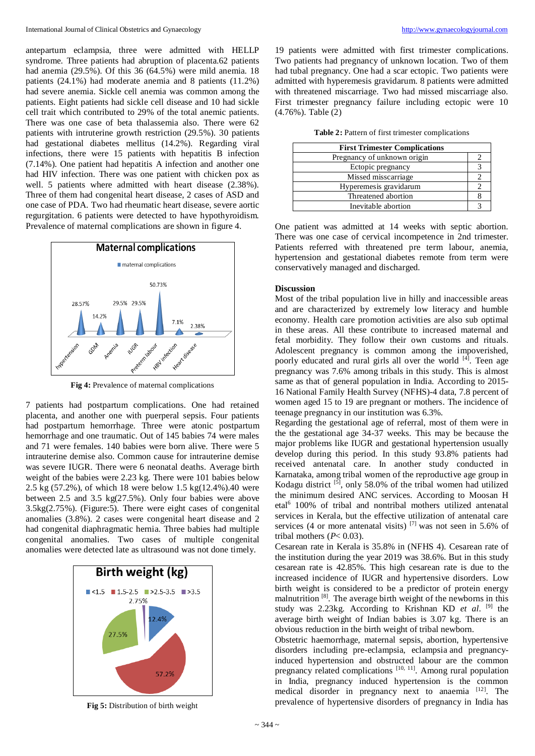antepartum eclampsia, three were admitted with HELLP syndrome. Three patients had abruption of placenta.62 patients had anemia (29.5%). Of this 36 (64.5%) were mild anemia. 18 patients (24.1%) had moderate anemia and 8 patients (11.2%) had severe anemia. Sickle cell anemia was common among the patients. Eight patients had sickle cell disease and 10 had sickle cell trait which contributed to 29% of the total anemic patients. There was one case of beta thalassemia also. There were 62 patients with intruterine growth restriction (29.5%). 30 patients had gestational diabetes mellitus (14.2%). Regarding viral infections, there were 15 patients with hepatitis B infection (7.14%). One patient had hepatitis A infection and another one had HIV infection. There was one patient with chicken pox as well. 5 patients where admitted with heart disease  $(2.38\%)$ . Three of them had congenital heart disease, 2 cases of ASD and one case of PDA. Two had rheumatic heart disease, severe aortic regurgitation. 6 patients were detected to have hypothyroidism. Prevalence of maternal complications are shown in figure 4.



**Fig 4:** Prevalence of maternal complications

7 patients had postpartum complications. One had retained placenta, and another one with puerperal sepsis. Four patients had postpartum hemorrhage. Three were atonic postpartum hemorrhage and one traumatic. Out of 145 babies 74 were males and 71 were females. 140 babies were born alive. There were 5 intrauterine demise also. Common cause for intrauterine demise was severe IUGR. There were 6 neonatal deaths. Average birth weight of the babies were 2.23 kg. There were 101 babies below 2.5 kg (57.2%), of which 18 were below 1.5 kg(12.4%).40 were between 2.5 and 3.5 kg(27.5%). Only four babies were above 3.5kg(2.75%). (Figure:5). There were eight cases of congenital anomalies (3.8%). 2 cases were congenital heart disease and 2 had congenital diaphragmatic hernia. Three babies had multiple congenital anomalies. Two cases of multiple congenital anomalies were detected late as ultrasound was not done timely.



**Fig 5:** Distribution of birth weight

19 patients were admitted with first trimester complications. Two patients had pregnancy of unknown location. Two of them had tubal pregnancy. One had a scar ectopic. Two patients were admitted with hyperemesis gravidarum. 8 patients were admitted with threatened miscarriage. Two had missed miscarriage also. First trimester pregnancy failure including ectopic were 10 (4.76%). Table (2)

**Table 2:** Pattern of first trimester complications

| <b>First Trimester Complications</b> |  |  |
|--------------------------------------|--|--|
| Pregnancy of unknown origin          |  |  |
| Ectopic pregnancy                    |  |  |
| Missed misscarriage                  |  |  |
| Hyperemesis gravidarum               |  |  |
| Threatened abortion                  |  |  |
| Inevitable abortion                  |  |  |

One patient was admitted at 14 weeks with septic abortion. There was one case of cervical incompetence in 2nd trimester. Patients referred with threatened pre term labour, anemia, hypertension and gestational diabetes remote from term were conservatively managed and discharged.

# **Discussion**

Most of the tribal population live in hilly and inaccessible areas and are characterized by extremely low literacy and humble economy. Health care promotion activities are also sub optimal in these areas. All these contribute to increased maternal and fetal morbidity. They follow their own customs and rituals. Adolescent pregnancy is common among the impoverished, poorly educated and rural girls all over the world <sup>[4]</sup>. Teen age pregnancy was 7.6% among tribals in this study. This is almost same as that of general population in India. According to 2015- 16 National Family Health Survey (NFHS)-4 data, 7.8 percent of women aged 15 to 19 are pregnant or mothers. The incidence of teenage pregnancy in our institution was 6.3%.

Regarding the gestational age of referral, most of them were in the the gestational age 34-37 weeks. This may be because the major problems like IUGR and gestational hypertension usually develop during this period. In this study 93.8% patients had received antenatal care. In another study conducted in Karnataka, among tribal women of the reproductive age group in Kodagu district <sup>[5]</sup>, only 58.0% of the tribal women had utilized the minimum desired ANC services. According to Moosan H etal<sup>6</sup> 100% of tribal and nontribal mothers utilized antenatal services in Kerala, but the effective utilization of antenatal care services (4 or more antenatal visits)  $^{[7]}$  was not seen in 5.6% of tribal mothers  $(P< 0.03)$ .

Cesarean rate in Kerala is 35.8% in (NFHS 4). Cesarean rate of the institution during the year 2019 was 38.6%. But in this study cesarean rate is 42.85%. This high cesarean rate is due to the increased incidence of IUGR and hypertensive disorders. Low birth weight is considered to be a predictor of protein energy malnutrition<sup>[8]</sup>. The average birth weight of the newborns in this study was 2.23kg. According to Krishnan KD et al. <sup>[9]</sup> the average birth weight of Indian babies is 3.07 kg. There is an obvious reduction in the birth weight of tribal newborn.

Obstetric haemorrhage, maternal sepsis, abortion, hypertensive disorders including pre-eclampsia, eclampsia and pregnancyinduced hypertension and obstructed labour are the common pregnancy related complications  $[10, 11]$ . Among rural population in India, pregnancy induced hypertension is the common medical disorder in pregnancy next to anaemia [12]. The prevalence of hypertensive disorders of pregnancy in India has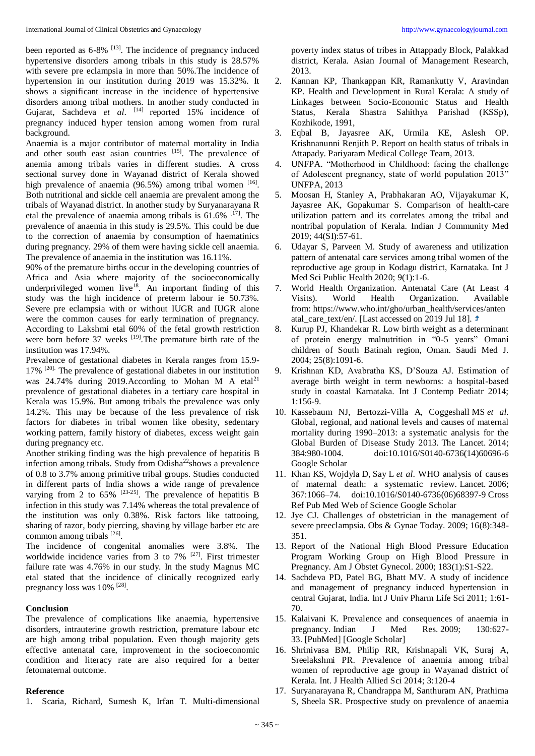been reported as 6-8% <sup>[13]</sup>. The incidence of pregnancy induced hypertensive disorders among tribals in this study is 28.57% with severe pre eclampsia in more than 50%.The incidence of hypertension in our institution during 2019 was 15.32%. It shows a significant increase in the incidence of hypertensive disorders among tribal mothers. In another study conducted in Gujarat, Sachdeva et al. <sup>[14]</sup> reported 15% incidence of pregnancy induced hyper tension among women from rural background.

Anaemia is a major contributor of maternal mortality in India and other south east asian countries [15]. The prevalence of anemia among tribals varies in different studies. A cross sectional survey done in Wayanad district of Kerala showed high prevalence of anaemia (96.5%) among tribal women  $^{[16]}$ . Both nutritional and sickle cell anaemia are prevalent among the tribals of Wayanad district. In another study by Suryanarayana R etal the prevalence of anaemia among tribals is  $61.6\%$ <sup>[17]</sup>. The prevalence of anaemia in this study is 29.5%. This could be due to the correction of anaemia by consumption of haematinics during pregnancy. 29% of them were having sickle cell anaemia. The prevalence of anaemia in the institution was 16.11%.

90% of the premature births occur in the developing countries of Africa and Asia where majority of the socioeconomically underprivileged women live<sup>18</sup>. An important finding of this study was the high incidence of preterm labour ie 50.73%. Severe pre eclampsia with or without IUGR and IUGR alone were the common causes for early termination of pregnancy. According to Lakshmi etal 60% of the fetal growth restriction were born before 37 weeks [19]. The premature birth rate of the institution was 17.94%.

Prevalence of gestational diabetes in Kerala ranges from 15.9- 17% [20]. The prevalence of gestational diabetes in our institution was  $24.74\%$  during 2019. According to Mohan M A etal<sup>21</sup> prevalence of gestational diabetes in a tertiary care hospital in Kerala was 15.9%. But among tribals the prevalence was only 14.2%. This may be because of the less prevalence of risk factors for diabetes in tribal women like obesity, sedentary working pattern, family history of diabetes, excess weight gain during pregnancy etc.

Another striking finding was the high prevalence of hepatitis B infection among tribals. Study from Odisha $^{22}$ shows a prevalence of 0.8 to 3.7% among primitive tribal groups. Studies conducted in different parts of India shows a wide range of prevalence varying from 2 to  $65\%$  <sup>[23-25]</sup>. The prevalence of hepatitis B infection in this study was 7.14% whereas the total prevalence of the institution was only 0.38%. Risk factors like tattooing, sharing of razor, body piercing, shaving by village barber etc are common among tribals [26].

The incidence of congenital anomalies were 3.8%. The worldwide incidence varies from 3 to  $7\%$  <sup>[27]</sup>. First trimester failure rate was 4.76% in our study. In the study Magnus MC etal stated that the incidence of clinically recognized early pregnancy loss was 10% <sup>[28]</sup>.

### **Conclusion**

The prevalence of complications like anaemia, hypertensive disorders, intrauterine growth restriction, premature labour etc are high among tribal population. Even though majority gets effective antenatal care, improvement in the socioeconomic condition and literacy rate are also required for a better fetomaternal outcome.

# **Reference**

1. Scaria, Richard, Sumesh K, Irfan T. Multi-dimensional

poverty index status of tribes in Attappady Block, Palakkad district, Kerala. Asian Journal of Management Research, 2013.

- 2. Kannan KP, Thankappan KR, Ramankutty V, Aravindan KP. Health and Development in Rural Kerala: A study of Linkages between Socio-Economic Status and Health Status, Kerala Shastra Sahithya Parishad (KSSp), Kozhikode, 1991,
- 3. Eqbal B, Jayasree AK, Urmila KE, Aslesh OP. Krishnanunni Renjith P. Report on health status of tribals in Attapady. Pariyaram Medical College Team, 2013.
- 4. UNFPA. "Motherhood in Childhood: facing the challenge of Adolescent pregnancy, state of world population 2013" UNFPA, 2013
- 5. Moosan H, Stanley A, Prabhakaran AO, Vijayakumar K, Jayasree AK, Gopakumar S. Comparison of health-care utilization pattern and its correlates among the tribal and nontribal population of Kerala. Indian J Community Med 2019; 44(SI):57-61.
- 6. Udayar S, Parveen M. Study of awareness and utilization pattern of antenatal care services among tribal women of the reproductive age group in Kodagu district, Karnataka. Int J Med Sci Public Health 2020; 9(1):1-6.
- 7. World Health Organization. Antenatal Care (At Least 4 Visits). World Health Organization. Available from: https://www.who.int/gho/urban\_health/services/anten atal\_care\_text/en/. [Last accessed on 2019 Jul 18].  $\pm$
- 8. Kurup PJ, Khandekar R. Low birth weight as a determinant of protein energy malnutrition in "0-5 years" Omani children of South Batinah region, Oman. Saudi Med J. 2004; 25(8):1091-6.
- 9. Krishnan KD, Avabratha KS, D'Souza AJ. Estimation of average birth weight in term newborns: a hospital-based study in coastal Karnataka. Int J Contemp Pediatr 2014; 1:156-9.
- 10. Kassebaum NJ, Bertozzi-Villa A, Coggeshall MS *et al.* Global, regional, and national levels and causes of maternal mortality during 1990–2013: a systematic analysis for the Global Burden of Disease Study 2013. The Lancet. 2014; 384:980-1004. doi:10.1016/S0140-6736(14)60696-6 Google Scholar
- 11. Khan KS, Wojdyla D, Say L *et al*. WHO analysis of causes of maternal death: a systematic review. Lancet. 2006; 367:1066–74. doi:10.1016/S0140-6736(06)68397-9 Cross Ref Pub Med Web of Science Google Scholar
- 12. Jye CJ. Challenges of obstetrician in the management of severe preeclampsia. Obs & Gynae Today. 2009; 16(8):348- 351.
- 13. Report of the National High Blood Pressure Education Program Working Group on High Blood Pressure in Pregnancy. Am J Obstet Gynecol. 2000; 183(1):S1-S22.
- 14. Sachdeva PD, Patel BG, Bhatt MV. A study of incidence and management of pregnancy induced hypertension in central Gujarat, India. Int J Univ Pharm Life Sci 2011; 1:61- 70.
- 15. Kalaivani K. Prevalence and consequences of anaemia in pregnancy. Indian J Med Res. 2009; 130:627- 33. [PubMed] [Google Scholar]
- 16. Shrinivasa BM, Philip RR, Krishnapali VK, Suraj A, Sreelakshmi PR. Prevalence of anaemia among tribal women of reproductive age group in Wayanad district of Kerala. Int. J Health Allied Sci 2014; 3:120-4
- 17. Suryanarayana R, Chandrappa M, Santhuram AN, Prathima S, Sheela SR. Prospective study on prevalence of anaemia